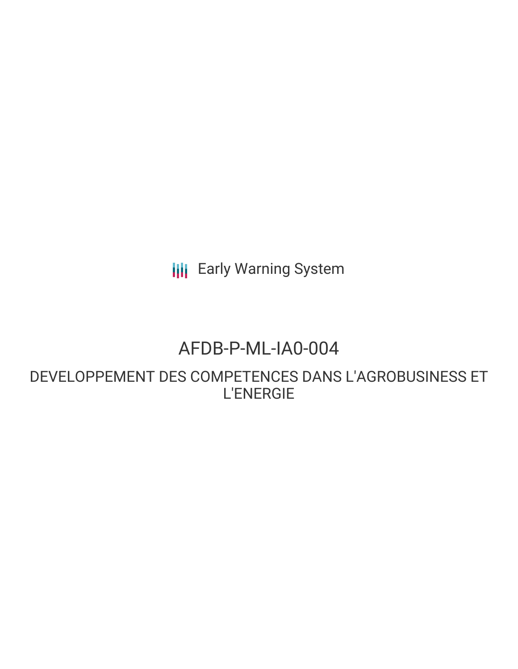**III** Early Warning System

## AFDB-P-ML-IA0-004

DEVELOPPEMENT DES COMPETENCES DANS L'AGROBUSINESS ET L'ENERGIE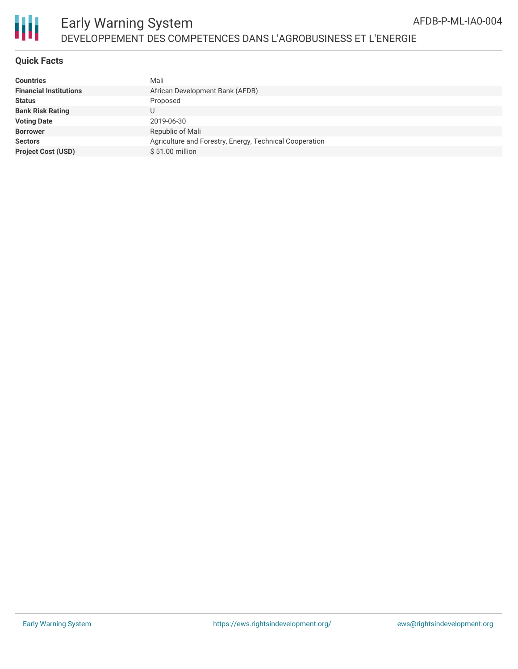



## Early Warning System DEVELOPPEMENT DES COMPETENCES DANS L'AGROBUSINESS ET L'ENERGIE

#### **Quick Facts**

| Countries                     | Mali                                                    |
|-------------------------------|---------------------------------------------------------|
| <b>Financial Institutions</b> | African Development Bank (AFDB)                         |
| Status                        | Proposed                                                |
| <b>Bank Risk Rating</b>       | U                                                       |
| <b>Voting Date</b>            | 2019-06-30                                              |
| <b>Borrower</b>               | Republic of Mali                                        |
| <b>Sectors</b>                | Agriculture and Forestry, Energy, Technical Cooperation |
| <b>Project Cost (USD)</b>     | \$51.00 million                                         |
|                               |                                                         |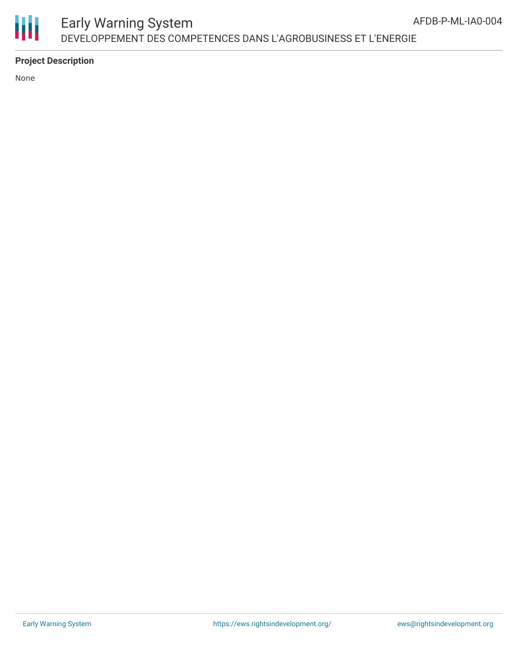

## Early Warning System DEVELOPPEMENT DES COMPETENCES DANS L'AGROBUSINESS ET L'ENERGIE

## **Project Description**

None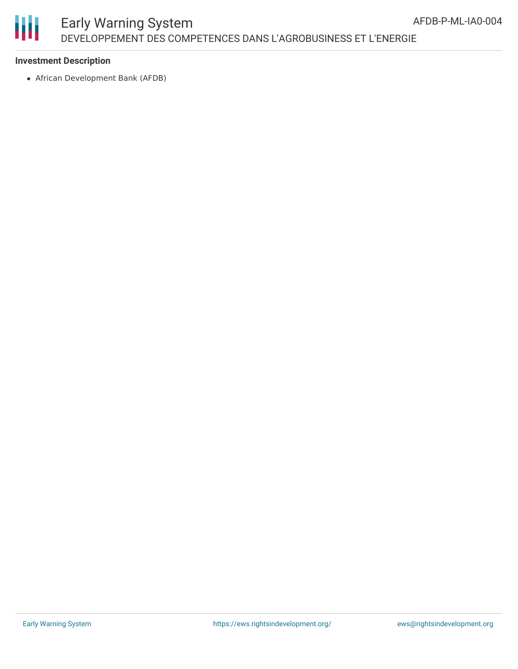# Ш

## Early Warning System DEVELOPPEMENT DES COMPETENCES DANS L'AGROBUSINESS ET L'ENERGIE

### **Investment Description**

African Development Bank (AFDB)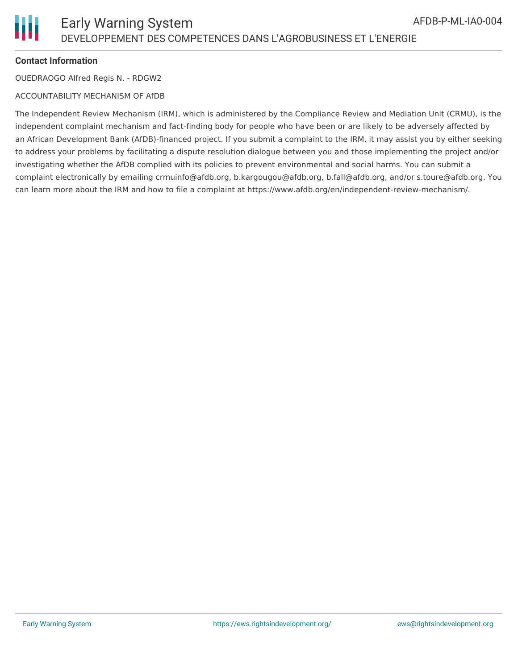### **Contact Information**

OUEDRAOGO Alfred Regis N. - RDGW2

#### ACCOUNTABILITY MECHANISM OF AfDB

The Independent Review Mechanism (IRM), which is administered by the Compliance Review and Mediation Unit (CRMU), is the independent complaint mechanism and fact-finding body for people who have been or are likely to be adversely affected by an African Development Bank (AfDB)-financed project. If you submit a complaint to the IRM, it may assist you by either seeking to address your problems by facilitating a dispute resolution dialogue between you and those implementing the project and/or investigating whether the AfDB complied with its policies to prevent environmental and social harms. You can submit a complaint electronically by emailing crmuinfo@afdb.org, b.kargougou@afdb.org, b.fall@afdb.org, and/or s.toure@afdb.org. You can learn more about the IRM and how to file a complaint at https://www.afdb.org/en/independent-review-mechanism/.